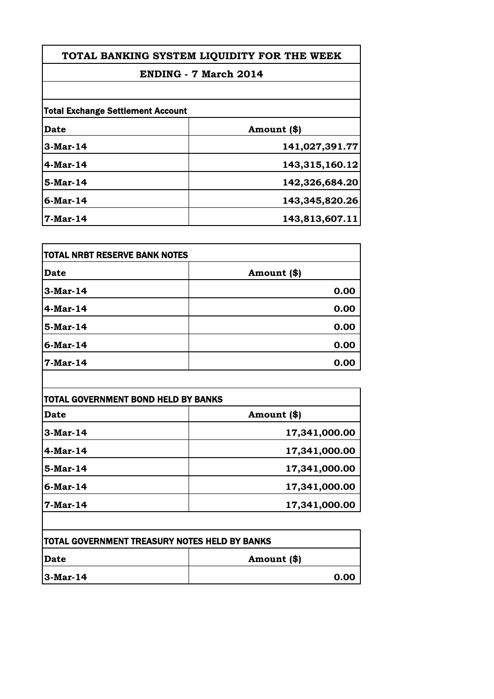## **ENDING - 7 March 2014**

| <b>Total Exchange Settlement Account</b> |                |
|------------------------------------------|----------------|
| Date                                     | Amount (\$)    |
| 3-Mar-14                                 | 141,027,391.77 |
| $4$ -Mar-14                              | 143,315,160.12 |
| $5-Mar-14$                               | 142,326,684.20 |
| 6-Mar-14                                 | 143,345,820.26 |
| $7-Mar-14$                               | 143,813,607.11 |

| <b>TOTAL NRBT RESERVE BANK NOTES</b> |             |
|--------------------------------------|-------------|
| Date                                 | Amount (\$) |
| 3-Mar-14                             | 0.00        |
| 4-Mar-14                             | 0.00        |
| 5-Mar-14                             | 0.00        |
| 6-Mar-14                             | 0.00        |
| 7-Mar-14                             | 0.00        |

 $\overline{\phantom{a}}$ 

| Date        | Amount (\$)   |
|-------------|---------------|
| $3-Mar-14$  | 17,341,000.00 |
| $4$ -Mar-14 | 17,341,000.00 |
| 5-Mar-14    | 17,341,000.00 |
| $6$ -Mar-14 | 17,341,000.00 |
| $7-Mar-14$  | 17,341,000.00 |

| <b>TOTAL GOVERNMENT TREASURY NOTES HELD BY BANKS</b> |             |
|------------------------------------------------------|-------------|
| <b>IDate</b>                                         | Amount (\$) |
| $ 3-Mar-14 $                                         | 0.00        |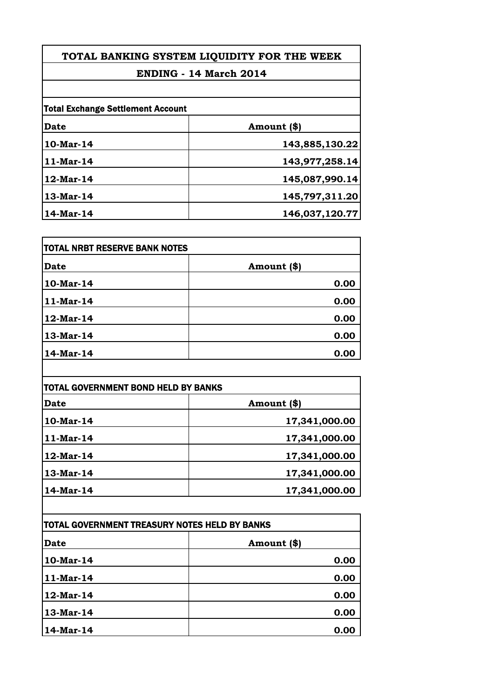## **ENDING - 14 March 2014**

| <b>Total Exchange Settlement Account</b> |                |
|------------------------------------------|----------------|
| <b>Date</b>                              | Amount (\$)    |
| 10-Mar-14                                | 143,885,130.22 |
| $11-Mar-14$                              | 143,977,258.14 |
| 12-Mar-14                                | 145,087,990.14 |
| 13-Mar-14                                | 145,797,311.20 |
| 14-Mar-14                                | 146,037,120.77 |

| <b>TOTAL NRBT RESERVE BANK NOTES</b> |             |
|--------------------------------------|-------------|
| <b>Date</b>                          | Amount (\$) |
| 10-Mar-14                            | 0.00        |
| $11-Mar-14$                          | 0.00        |
| 12-Mar-14                            | 0.00        |
| 13-Mar-14                            | 0.00        |
| 14-Mar-14                            | 0.00        |

| <b>TOTAL GOVERNMENT BOND HELD BY BANKS</b> |               |
|--------------------------------------------|---------------|
| Date                                       | Amount (\$)   |
| 10-Mar-14                                  | 17,341,000.00 |
| $11-Mar-14$                                | 17,341,000.00 |
| $12$ -Mar-14                               | 17,341,000.00 |
| $13-Mar-14$                                | 17,341,000.00 |
| 14-Mar-14                                  | 17,341,000.00 |

| TOTAL GOVERNMENT TREASURY NOTES HELD BY BANKS |             |
|-----------------------------------------------|-------------|
| <b>Date</b>                                   | Amount (\$) |
| 10-Mar-14                                     | 0.00        |
| 11-Mar-14                                     | 0.00        |
| 12-Mar-14                                     | 0.00        |
| 13-Mar-14                                     | 0.00        |
| 14-Mar-14                                     | 0.00        |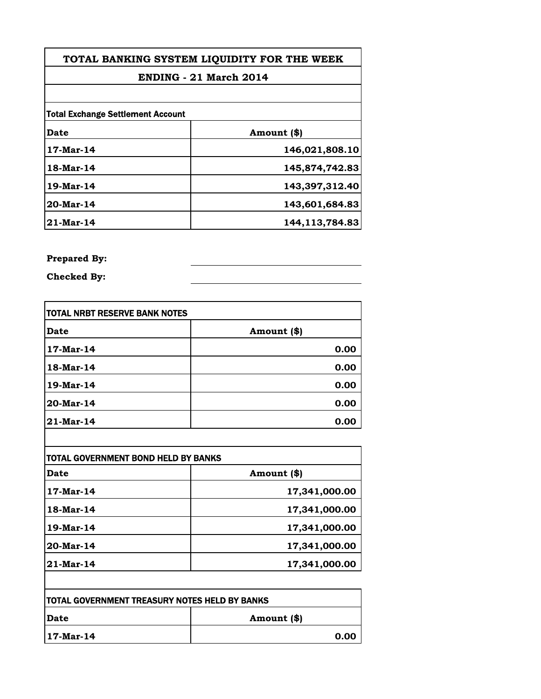### **ENDING - 21 March 2014**

| <b>Total Exchange Settlement Account</b> |                   |
|------------------------------------------|-------------------|
| Date                                     | Amount (\$)       |
| $17$ -Mar-14                             | 146,021,808.10    |
| 18-Mar-14                                | 145,874,742.83    |
| 19-Mar-14                                | 143,397,312.40    |
| 20-Mar-14                                | 143,601,684.83    |
| $21$ -Mar-14                             | 144, 113, 784. 83 |

### **Prepared By:**

**Checked By:**

| <b>TOTAL NRBT RESERVE BANK NOTES</b> |             |
|--------------------------------------|-------------|
| Date                                 | Amount (\$) |
| 17-Mar-14                            | 0.00        |
| 18-Mar-14                            | 0.00        |
| 19-Mar-14                            | 0.00        |
| 20-Mar-14                            | 0.00        |
| 21-Mar-14                            | 0.00        |

| Date      | Amount (\$)   |
|-----------|---------------|
| 17-Mar-14 | 17,341,000.00 |
| 18-Mar-14 | 17,341,000.00 |
| 19-Mar-14 | 17,341,000.00 |
| 20-Mar-14 | 17,341,000.00 |
| 21-Mar-14 | 17,341,000.00 |

| <b>TOTAL GOVERNMENT TREASURY NOTES HELD BY BANKS</b> |             |
|------------------------------------------------------|-------------|
| <b>IDate</b>                                         | Amount (\$) |
| $117$ -Mar-14                                        | 0.00        |